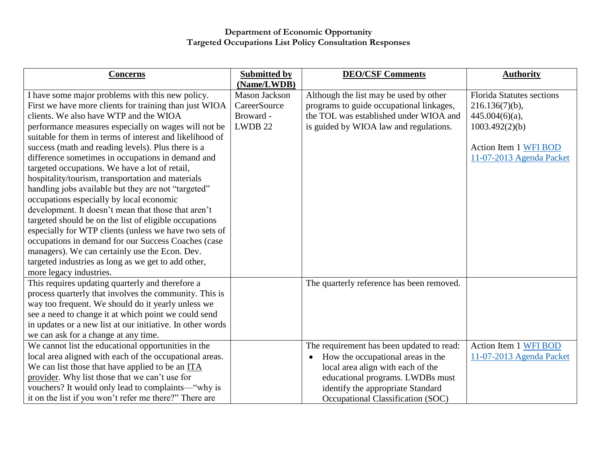| <b>Concerns</b>                                                                                                                                                                                                                                                                                                                                                                                                                                                                                                                                                                                                                                                                                                                                                                                                                                                                   | <b>Submitted by</b>                                                         | <b>DEO/CSF Comments</b>                                                                                                                                                                                                                        | <b>Authority</b>                                                                                                                                  |
|-----------------------------------------------------------------------------------------------------------------------------------------------------------------------------------------------------------------------------------------------------------------------------------------------------------------------------------------------------------------------------------------------------------------------------------------------------------------------------------------------------------------------------------------------------------------------------------------------------------------------------------------------------------------------------------------------------------------------------------------------------------------------------------------------------------------------------------------------------------------------------------|-----------------------------------------------------------------------------|------------------------------------------------------------------------------------------------------------------------------------------------------------------------------------------------------------------------------------------------|---------------------------------------------------------------------------------------------------------------------------------------------------|
| I have some major problems with this new policy.<br>First we have more clients for training than just WIOA<br>clients. We also have WTP and the WIOA<br>performance measures especially on wages will not be<br>suitable for them in terms of interest and likelihood of<br>success (math and reading levels). Plus there is a<br>difference sometimes in occupations in demand and<br>targeted occupations. We have a lot of retail,<br>hospitality/tourism, transportation and materials<br>handling jobs available but they are not "targeted"<br>occupations especially by local economic<br>development. It doesn't mean that those that aren't<br>targeted should be on the list of eligible occupations<br>especially for WTP clients (unless we have two sets of<br>occupations in demand for our Success Coaches (case<br>managers). We can certainly use the Econ. Dev. | (Name/LWDB)<br><b>Mason Jackson</b><br>CareerSource<br>Broward -<br>LWDB 22 | Although the list may be used by other<br>programs to guide occupational linkages,<br>the TOL was established under WIOA and<br>is guided by WIOA law and regulations.                                                                         | <b>Florida Statutes sections</b><br>$216.136(7)(b)$ ,<br>$445.004(6)(a)$ ,<br>1003.492(2)(b)<br>Action Item 1 WFI BOD<br>11-07-2013 Agenda Packet |
| targeted industries as long as we get to add other,<br>more legacy industries.<br>This requires updating quarterly and therefore a<br>process quarterly that involves the community. This is<br>way too frequent. We should do it yearly unless we<br>see a need to change it at which point we could send<br>in updates or a new list at our initiative. In other words<br>we can ask for a change at any time.                                                                                                                                                                                                                                                                                                                                                                                                                                                                  |                                                                             | The quarterly reference has been removed.                                                                                                                                                                                                      |                                                                                                                                                   |
| We cannot list the educational opportunities in the<br>local area aligned with each of the occupational areas.<br>We can list those that have applied to be an ITA<br>provider. Why list those that we can't use for<br>vouchers? It would only lead to complaints—"why is<br>it on the list if you won't refer me there?" There are                                                                                                                                                                                                                                                                                                                                                                                                                                                                                                                                              |                                                                             | The requirement has been updated to read:<br>How the occupational areas in the<br>$\bullet$<br>local area align with each of the<br>educational programs. LWDBs must<br>identify the appropriate Standard<br>Occupational Classification (SOC) | Action Item 1 WFI BOD<br>11-07-2013 Agenda Packet                                                                                                 |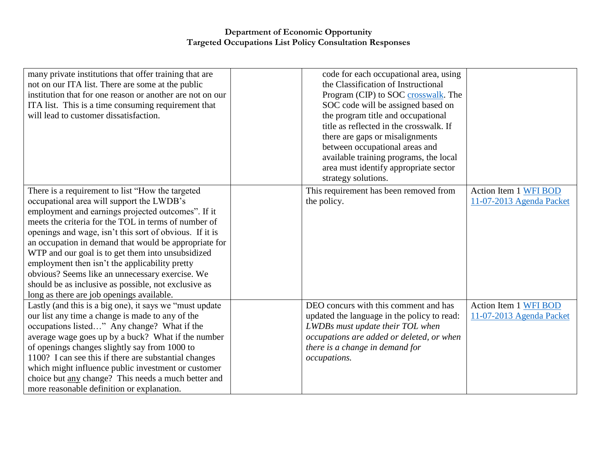| many private institutions that offer training that are<br>not on our ITA list. There are some at the public<br>institution that for one reason or another are not on our<br>ITA list. This is a time consuming requirement that<br>will lead to customer dissatisfaction.                                                                                                                                                                                                                                                                                                                      | code for each occupational area, using<br>the Classification of Instructional<br>Program (CIP) to SOC crosswalk. The<br>SOC code will be assigned based on<br>the program title and occupational<br>title as reflected in the crosswalk. If |                                                   |
|------------------------------------------------------------------------------------------------------------------------------------------------------------------------------------------------------------------------------------------------------------------------------------------------------------------------------------------------------------------------------------------------------------------------------------------------------------------------------------------------------------------------------------------------------------------------------------------------|---------------------------------------------------------------------------------------------------------------------------------------------------------------------------------------------------------------------------------------------|---------------------------------------------------|
|                                                                                                                                                                                                                                                                                                                                                                                                                                                                                                                                                                                                | there are gaps or misalignments<br>between occupational areas and<br>available training programs, the local<br>area must identify appropriate sector<br>strategy solutions.                                                                 |                                                   |
| There is a requirement to list "How the targeted<br>occupational area will support the LWDB's<br>employment and earnings projected outcomes". If it<br>meets the criteria for the TOL in terms of number of<br>openings and wage, isn't this sort of obvious. If it is<br>an occupation in demand that would be appropriate for<br>WTP and our goal is to get them into unsubsidized<br>employment then isn't the applicability pretty<br>obvious? Seems like an unnecessary exercise. We<br>should be as inclusive as possible, not exclusive as<br>long as there are job openings available. | This requirement has been removed from<br>the policy.                                                                                                                                                                                       | Action Item 1 WFI BOD<br>11-07-2013 Agenda Packet |
| Lastly (and this is a big one), it says we "must update<br>our list any time a change is made to any of the<br>occupations listed" Any change? What if the<br>average wage goes up by a buck? What if the number<br>of openings changes slightly say from 1000 to<br>1100? I can see this if there are substantial changes<br>which might influence public investment or customer<br>choice but any change? This needs a much better and<br>more reasonable definition or explanation.                                                                                                         | DEO concurs with this comment and has<br>updated the language in the policy to read:<br>LWDBs must update their TOL when<br>occupations are added or deleted, or when<br>there is a change in demand for<br>occupations.                    | Action Item 1 WFI BOD<br>11-07-2013 Agenda Packet |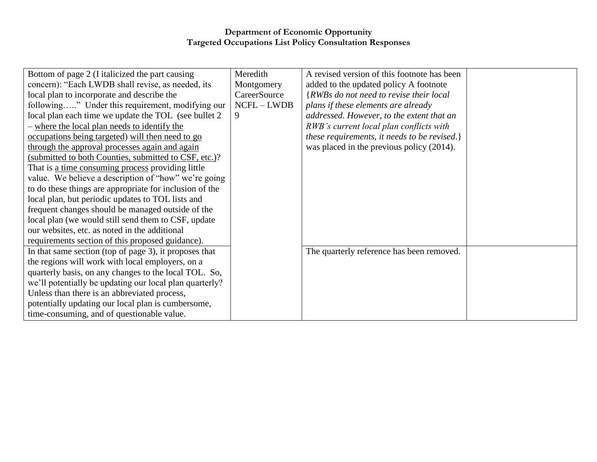| Bottom of page 2 (I italicized the part causing         | Meredith     | A revised version of this footnote has been  |  |
|---------------------------------------------------------|--------------|----------------------------------------------|--|
| concern): "Each LWDB shall revise, as needed, its       | Montgomery   | added to the updated policy A footnote       |  |
| local plan to incorporate and describe the              | CareerSource | {RWBs do not need to revise their local      |  |
| following" Under this requirement, modifying our        | $NCFL-LWDB$  | plans if these elements are already          |  |
| local plan each time we update the TOL (see bullet 2)   |              | addressed. However, to the extent that an    |  |
| - where the local plan needs to identify the            |              | RWB's current local plan conflicts with      |  |
| occupations being targeted) will then need to go        |              | these requirements, it needs to be revised.} |  |
| through the approval processes again and again          |              | was placed in the previous policy (2014).    |  |
| (submitted to both Counties, submitted to CSF, etc.)?   |              |                                              |  |
| That is a time consuming process providing little       |              |                                              |  |
| value. We believe a description of "how" we're going    |              |                                              |  |
| to do these things are appropriate for inclusion of the |              |                                              |  |
| local plan, but periodic updates to TOL lists and       |              |                                              |  |
| frequent changes should be managed outside of the       |              |                                              |  |
| local plan (we would still send them to CSF, update     |              |                                              |  |
| our websites, etc. as noted in the additional           |              |                                              |  |
| requirements section of this proposed guidance).        |              |                                              |  |
| In that same section (top of page 3), it proposes that  |              | The quarterly reference has been removed.    |  |
| the regions will work with local employers, on a        |              |                                              |  |
| quarterly basis, on any changes to the local TOL. So,   |              |                                              |  |
| we'll potentially be updating our local plan quarterly? |              |                                              |  |
| Unless than there is an abbreviated process,            |              |                                              |  |
| potentially updating our local plan is cumbersome,      |              |                                              |  |
| time-consuming, and of questionable value.              |              |                                              |  |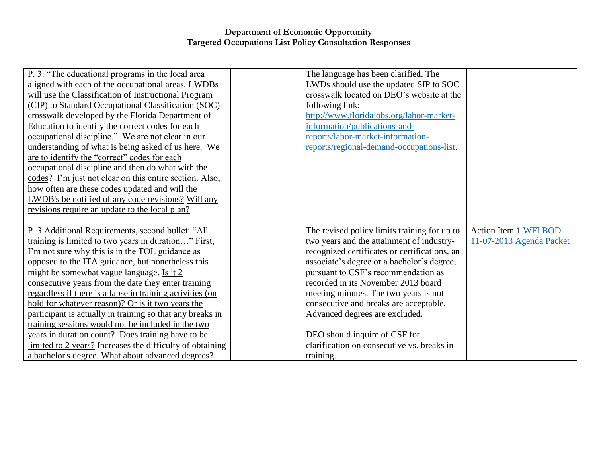| P. 3: "The educational programs in the local area         | The language has been clarified. The          |                          |
|-----------------------------------------------------------|-----------------------------------------------|--------------------------|
| aligned with each of the occupational areas. LWDBs        | LWDs should use the updated SIP to SOC        |                          |
| will use the Classification of Instructional Program      | crosswalk located on DEO's website at the     |                          |
| (CIP) to Standard Occupational Classification (SOC)       | following link:                               |                          |
| crosswalk developed by the Florida Department of          | http://www.floridajobs.org/labor-market-      |                          |
| Education to identify the correct codes for each          | information/publications-and-                 |                          |
| occupational discipline." We are not clear in our         | reports/labor-market-information-             |                          |
| understanding of what is being asked of us here. We       | reports/regional-demand-occupations-list.     |                          |
| are to identify the "correct" codes for each              |                                               |                          |
| occupational discipline and then do what with the         |                                               |                          |
| codes? I'm just not clear on this entire section. Also,   |                                               |                          |
| how often are these codes updated and will the            |                                               |                          |
| LWDB's be notified of any code revisions? Will any        |                                               |                          |
| revisions require an update to the local plan?            |                                               |                          |
|                                                           |                                               |                          |
|                                                           |                                               |                          |
| P. 3 Additional Requirements, second bullet: "All         | The revised policy limits training for up to  | Action Item 1 WFI BOD    |
| training is limited to two years in duration" First,      | two years and the attainment of industry-     | 11-07-2013 Agenda Packet |
| I'm not sure why this is in the TOL guidance as           | recognized certificates or certifications, an |                          |
| opposed to the ITA guidance, but nonetheless this         | associate's degree or a bachelor's degree,    |                          |
| might be somewhat vague language. Is it 2                 | pursuant to CSF's recommendation as           |                          |
| consecutive years from the date they enter training       | recorded in its November 2013 board           |                          |
| regardless if there is a lapse in training activities (on | meeting minutes. The two years is not         |                          |
| hold for whatever reason)? Or is it two years the         | consecutive and breaks are acceptable.        |                          |
| participant is actually in training so that any breaks in | Advanced degrees are excluded.                |                          |
| training sessions would not be included in the two        |                                               |                          |
| years in duration count? Does training have to be         | DEO should inquire of CSF for                 |                          |
| limited to 2 years? Increases the difficulty of obtaining | clarification on consecutive vs. breaks in    |                          |